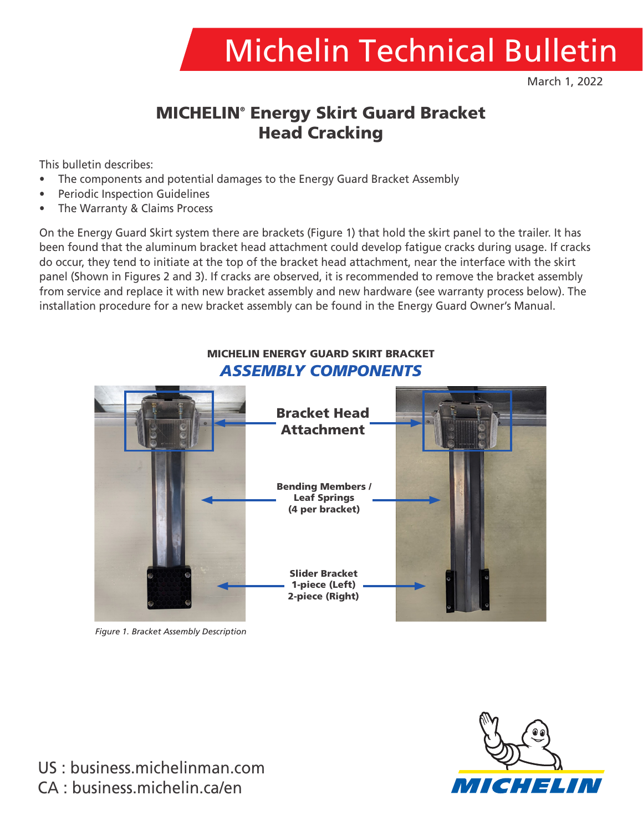

March 1, 2022

# MICHELIN® Energy Skirt Guard Bracket Head Cracking

This bulletin describes:

- The components and potential damages to the Energy Guard Bracket Assembly
- Periodic Inspection Guidelines
- The Warranty & Claims Process

On the Energy Guard Skirt system there are brackets (Figure 1) that hold the skirt panel to the trailer. It has been found that the aluminum bracket head attachment could develop fatigue cracks during usage. If cracks do occur, they tend to initiate at the top of the bracket head attachment, near the interface with the skirt panel (Shown in Figures 2 and 3). If cracks are observed, it is recommended to remove the bracket assembly from service and replace it with new bracket assembly and new hardware (see warranty process below). The installation procedure for a new bracket assembly can be found in the Energy Guard Owner's Manual.

#### MICHELIN ENERGY GUARD SKIRT BRACKET *ASSEMBLY COMPONENTS*



*Figure 1. Bracket Assembly Description*